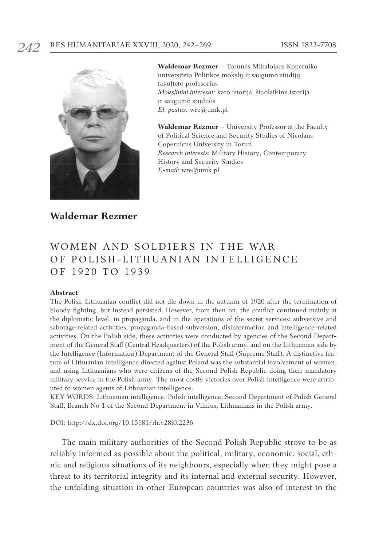

**Waldemar Rezmer** – Torunės Mikalojaus Koperniko universiteto Politikos mokslų ir saugumo studijų fakulteto profesorius *Moksliniai interesai:* karo istorija, šiuolaikinė istorija ir saugumo studijos *El. paštas:* wre@umk.pl

**Waldemar Rezmer** – University Professor at the Faculty of Political Science and Security Studies of Nicolaus Copernicus University in Toruń *Research interests:* Military History, Contemporary History and Security Studies *E-mail:* wre@umk.pl

## **Waldemar Rezmer**

# Women and Soldiers in the War OF POLISH-LITHUANIAN INTELLIGENCE of 1920 to 1939

#### **Abstract**

The Polish-Lithuanian conflict did not die down in the autumn of 1920 after the termination of bloody fighting, but instead persisted. However, from then on, the conflict continued mainly at the diplomatic level, in propaganda, and in the operations of the secret services: subversive and sabotage-related activities, propaganda-based subversion, disinformation and intelligence-related activities. On the Polish side, these activities were conducted by agencies of the Second Department of the General Staff (Central Headquarters) of the Polish army, and on the Lithuanian side by the Intelligence (Information) Department of the General Staff (Supreme Staff). A distinctive feature of Lithuanian intelligence directed against Poland was the substantial involvement of women, and using Lithuanians who were citizens of the Second Polish Republic doing their mandatory military service in the Polish army. The most costly victories over Polish intelligence were attributed to women agents of Lithuanian intelligence.

KEY WORDS: Lithuanian intelligence, Polish intelligence, Second Department of Polish General Staff, Branch No 1 of the Second Department in Vilnius, Lithuanians in the Polish army.

DOI: http://dx.doi.org/10.15181/rh.v28i0.2236

The main military authorities of the Second Polish Republic strove to be as reliably informed as possible about the political, military, economic, social, ethnic and religious situations of its neighbours, especially when they might pose a threat to its territorial integrity and its internal and external security. However, the unfolding situation in other European countries was also of interest to the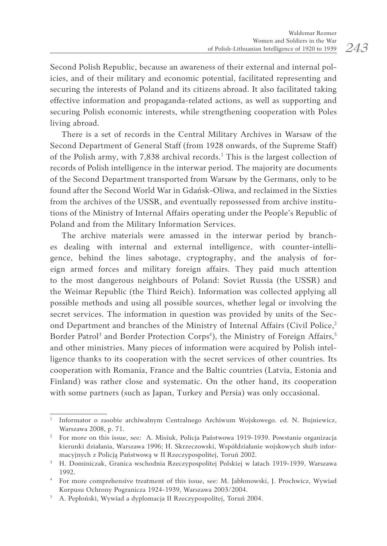Second Polish Republic, because an awareness of their external and internal policies, and of their military and economic potential, facilitated representing and securing the interests of Poland and its citizens abroad. It also facilitated taking effective information and propaganda-related actions, as well as supporting and securing Polish economic interests, while strengthening cooperation with Poles living abroad.

There is a set of records in the Central Military Archives in Warsaw of the Second Department of General Staff (from 1928 onwards, of the Supreme Staff) of the Polish army, with 7,838 archival records.<sup>1</sup> This is the largest collection of records of Polish intelligence in the interwar period. The majority are documents of the Second Department transported from Warsaw by the Germans, only to be found after the Second World War in Gdańsk-Oliwa, and reclaimed in the Sixties from the archives of the USSR, and eventually repossessed from archive institutions of the Ministry of Internal Affairs operating under the People's Republic of Poland and from the Military Information Services.

The archive materials were amassed in the interwar period by branches dealing with internal and external intelligence, with counter-intelligence, behind the lines sabotage, cryptography, and the analysis of foreign armed forces and military foreign affairs. They paid much attention to the most dangerous neighbours of Poland: Soviet Russia (the USSR) and the Weimar Republic (the Third Reich). Information was collected applying all possible methods and using all possible sources, whether legal or involving the secret services. The information in question was provided by units of the Second Department and branches of the Ministry of Internal Affairs (Civil Police,<sup>2</sup>) Border Patrol<sup>3</sup> and Border Protection Corps<sup>4</sup>), the Ministry of Foreign Affairs,<sup>5</sup> and other ministries. Many pieces of information were acquired by Polish intelligence thanks to its cooperation with the secret services of other countries. Its cooperation with Romania, France and the Baltic countries (Latvia, Estonia and Finland) was rather close and systematic. On the other hand, its cooperation with some partners (such as Japan, Turkey and Persia) was only occasional.

<sup>1</sup> Informator o zasobie archiwalnym Centralnego Archiwum Wojskowego. ed. N. Bujniewicz, Warszawa 2008, p. 71.

<sup>&</sup>lt;sup>2</sup> For more on this issue, see: A. Misiuk, Policja Państwowa 1919-1939. Powstanie organizacja kierunki działania, Warszawa 1996; H. Skrzeczowski, Współdziałanie wojskowych służb infor-

macyjnych z Policją Państwową w II Rzeczypospolitej, Toruń 2002. 3 H. Dominiczak, Granica wschodnia Rzeczypospolitej Polskiej w latach 1919-1939, Warszawa 1992.

<sup>4</sup> For more comprehensive treatment of this issue, see: M. Jabłonowski, J. Prochwicz, Wywiad Korpusu Ochrony Pogranicza 1924-1939, Warszawa 2003/2004.

<sup>5</sup> A. Pepłoński, Wywiad a dyplomacja II Rzeczypospolitej, Toruń 2004.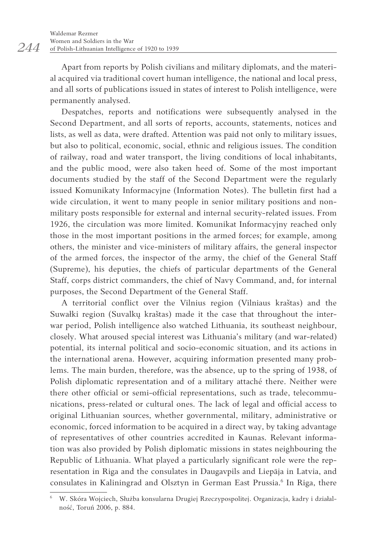Apart from reports by Polish civilians and military diplomats, and the material acquired via traditional covert human intelligence, the national and local press, and all sorts of publications issued in states of interest to Polish intelligence, were permanently analysed.

Despatches, reports and notifications were subsequently analysed in the Second Department, and all sorts of reports, accounts, statements, notices and lists, as well as data, were drafted. Attention was paid not only to military issues, but also to political, economic, social, ethnic and religious issues. The condition of railway, road and water transport, the living conditions of local inhabitants, and the public mood, were also taken heed of. Some of the most important documents studied by the staff of the Second Department were the regularly issued Komunikaty Informacyjne (Information Notes). The bulletin first had a wide circulation, it went to many people in senior military positions and nonmilitary posts responsible for external and internal security-related issues. From 1926, the circulation was more limited. Komunikat Informacyjny reached only those in the most important positions in the armed forces; for example, among others, the minister and vice-ministers of military affairs, the general inspector of the armed forces, the inspector of the army, the chief of the General Staff (Supreme), his deputies, the chiefs of particular departments of the General Staff, corps district commanders, the chief of Navy Command, and, for internal purposes, the Second Department of the General Staff.

A territorial conflict over the Vilnius region (Vilniaus kraštas) and the Suwałki region (Suvalkų kraštas) made it the case that throughout the interwar period, Polish intelligence also watched Lithuania, its southeast neighbour, closely. What aroused special interest was Lithuania's military (and war-related) potential, its internal political and socio-economic situation, and its actions in the international arena. However, acquiring information presented many problems. The main burden, therefore, was the absence, up to the spring of 1938, of Polish diplomatic representation and of a military attaché there. Neither were there other official or semi-official representations, such as trade, telecommunications, press-related or cultural ones. The lack of legal and official access to original Lithuanian sources, whether governmental, military, administrative or economic, forced information to be acquired in a direct way, by taking advantage of representatives of other countries accredited in Kaunas. Relevant information was also provided by Polish diplomatic missions in states neighbouring the Republic of Lithuania. What played a particularly significant role were the representation in Riga and the consulates in Daugavpils and Liepāja in Latvia, and consulates in Kaliningrad and Olsztyn in German East Prussia.<sup>6</sup> In Riga, there

<sup>6</sup> W. Skóra Wojciech, Służba konsularna Drugiej Rzeczypospolitej. Organizacja, kadry i działalność, Toruń 2006, p. 884.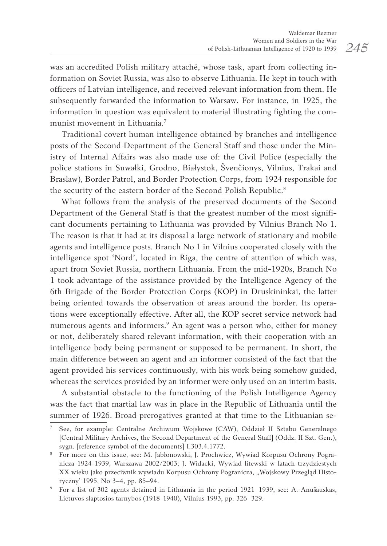was an accredited Polish military attaché, whose task, apart from collecting information on Soviet Russia, was also to observe Lithuania. He kept in touch with officers of Latvian intelligence, and received relevant information from them. He subsequently forwarded the information to Warsaw. For instance, in 1925, the information in question was equivalent to material illustrating fighting the communist movement in Lithuania.<sup>7</sup>

Traditional covert human intelligence obtained by branches and intelligence posts of the Second Department of the General Staff and those under the Ministry of Internal Affairs was also made use of: the Civil Police (especially the police stations in Suwałki, Grodno, Białystok, Švenčionys, Vilnius, Trakai and Braslaw), Border Patrol, and Border Protection Corps, from 1924 responsible for the security of the eastern border of the Second Polish Republic.<sup>8</sup>

What follows from the analysis of the preserved documents of the Second Department of the General Staff is that the greatest number of the most significant documents pertaining to Lithuania was provided by Vilnius Branch No 1. The reason is that it had at its disposal a large network of stationary and mobile agents and intelligence posts. Branch No 1 in Vilnius cooperated closely with the intelligence spot 'Nord', located in Riga, the centre of attention of which was, apart from Soviet Russia, northern Lithuania. From the mid-1920s, Branch No 1 took advantage of the assistance provided by the Intelligence Agency of the 6th Brigade of the Border Protection Corps (KOP) in Druskininkai, the latter being oriented towards the observation of areas around the border. Its operations were exceptionally effective. After all, the KOP secret service network had numerous agents and informers.<sup>9</sup> An agent was a person who, either for money or not, deliberately shared relevant information, with their cooperation with an intelligence body being permanent or supposed to be permanent. In short, the main difference between an agent and an informer consisted of the fact that the agent provided his services continuously, with his work being somehow guided, whereas the services provided by an informer were only used on an interim basis.

A substantial obstacle to the functioning of the Polish Intelligence Agency was the fact that martial law was in place in the Republic of Lithuania until the summer of 1926. Broad prerogatives granted at that time to the Lithuanian se-

<sup>7</sup> See, for example: Centralne Archiwum Wojskowe (CAW), Oddział II Sztabu Generalnego [Central Military Archives, the Second Department of the General Staff] (Oddz. II Szt. Gen.), sygn. [reference symbol of the documents] I.303.4.1772.

<sup>8</sup> For more on this issue, see: M. Jabłonowski, J. Prochwicz, Wywiad Korpusu Ochrony Pogranicza 1924-1939, Warszawa 2002/2003; J. Widacki, Wywiad litewski w latach trzydziestych XX wieku jako przeciwnik wywiadu Korpusu Ochrony Pogranicza, "Wojskowy Przegląd Historyczny' 1995, No 3–4, pp. 85–94.

<sup>9</sup> For a list of 302 agents detained in Lithuania in the period 1921–1939, see: A. Anušauskas, Lietuvos slaptosios tarnybos (1918-1940), Vilnius 1993, pp. 326–329.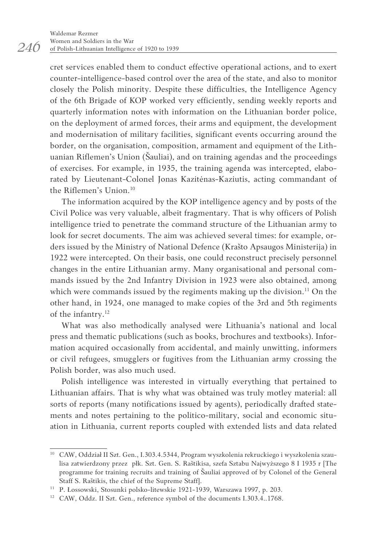cret services enabled them to conduct effective operational actions, and to exert counter-intelligence-based control over the area of the state, and also to monitor closely the Polish minority. Despite these difficulties, the Intelligence Agency of the 6th Brigade of KOP worked very efficiently, sending weekly reports and quarterly information notes with information on the Lithuanian border police, on the deployment of armed forces, their arms and equipment, the development and modernisation of military facilities, significant events occurring around the border, on the organisation, composition, armament and equipment of the Lithuanian Riflemen's Union (Šauliai), and on training agendas and the proceedings of exercises. For example, in 1935, the training agenda was intercepted, elaborated by Lieutenant-Colonel Jonas Kazitėnas-Kaziutis, acting commandant of the Riflemen's Union.<sup>10</sup>

The information acquired by the KOP intelligence agency and by posts of the Civil Police was very valuable, albeit fragmentary. That is why officers of Polish intelligence tried to penetrate the command structure of the Lithuanian army to look for secret documents. The aim was achieved several times: for example, orders issued by the Ministry of National Defence (Krašto Apsaugos Ministerija) in 1922 were intercepted. On their basis, one could reconstruct precisely personnel changes in the entire Lithuanian army. Many organisational and personal commands issued by the 2nd Infantry Division in 1923 were also obtained, among which were commands issued by the regiments making up the division.<sup>11</sup> On the other hand, in 1924, one managed to make copies of the 3rd and 5th regiments of the infantry.12

What was also methodically analysed were Lithuania's national and local press and thematic publications (such as books, brochures and textbooks). Information acquired occasionally from accidental, and mainly unwitting, informers or civil refugees, smugglers or fugitives from the Lithuanian army crossing the Polish border, was also much used.

Polish intelligence was interested in virtually everything that pertained to Lithuanian affairs. That is why what was obtained was truly motley material: all sorts of reports (many notifications issued by agents), periodically drafted statements and notes pertaining to the politico-military, social and economic situation in Lithuania, current reports coupled with extended lists and data related

<sup>10</sup> CAW, Oddział II Szt. Gen., I.303.4.5344, Program wyszkolenia rekruckiego i wyszkolenia szaulisa zatwierdzony przez płk. Szt. Gen. S. Raštikisa, szefa Sztabu Najwyższego 8 I 1935 r [The programme for training recruits and training of Šauliai approved of by Colonel of the General Staff S. Raštikis, the chief of the Supreme Staff].

<sup>11</sup> P. Łossowski, Stosunki polsko-litewskie 1921-1939, Warszawa 1997, p. 203.

<sup>&</sup>lt;sup>12</sup> CAW, Oddz. II Szt. Gen., reference symbol of the documents I.303.4..1768.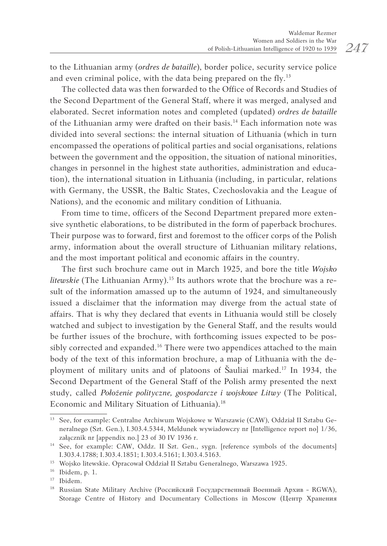to the Lithuanian army (*ordres de bataille*), border police, security service police and even criminal police, with the data being prepared on the fly.<sup>13</sup>

The collected data was then forwarded to the Office of Records and Studies of the Second Department of the General Staff, where it was merged, analysed and elaborated. Secret information notes and completed (updated) *ordres de bataille* of the Lithuanian army were drafted on their basis.<sup>14</sup> Each information note was divided into several sections: the internal situation of Lithuania (which in turn encompassed the operations of political parties and social organisations, relations between the government and the opposition, the situation of national minorities, changes in personnel in the highest state authorities, administration and education), the international situation in Lithuania (including, in particular, relations with Germany, the USSR, the Baltic States, Czechoslovakia and the League of Nations), and the economic and military condition of Lithuania.

From time to time, officers of the Second Department prepared more extensive synthetic elaborations, to be distributed in the form of paperback brochures. Their purpose was to forward, first and foremost to the officer corps of the Polish army, information about the overall structure of Lithuanian military relations, and the most important political and economic affairs in the country.

The first such brochure came out in March 1925, and bore the title *Wojsko litewskie* (The Lithuanian Army).<sup>15</sup> Its authors wrote that the brochure was a result of the information amassed up to the autumn of 1924, and simultaneously issued a disclaimer that the information may diverge from the actual state of affairs. That is why they declared that events in Lithuania would still be closely watched and subject to investigation by the General Staff, and the results would be further issues of the brochure, with forthcoming issues expected to be possibly corrected and expanded.<sup>16</sup> There were two appendices attached to the main body of the text of this information brochure, a map of Lithuania with the deployment of military units and of platoons of Šauliai marked.<sup>17</sup> In 1934, the Second Department of the General Staff of the Polish army presented the next study, called *Położenie polityczne, gospodarcze i wojskowe Litwy* (The Political, Economic and Military Situation of Lithuania).<sup>18</sup>

<sup>&</sup>lt;sup>13</sup> See, for example: Centralne Archiwum Wojskowe w Warszawie (CAW), Oddział II Sztabu Generalnego (Szt. Gen.), I.303.4.5344, Meldunek wywiadowczy nr [Intelligence report no] 1/36, załącznik nr [appendix no.] 23 of 30 IV 1936 r.

<sup>&</sup>lt;sup>14</sup> See, for example: CAW, Oddz. II Szt. Gen., sygn. [reference symbols of the documents] I.303.4.1788; I.303.4.1851; I.303.4.5161; I.303.4.5163. 15 Wojsko litewskie. Opracował Oddział II Sztabu Generalnego, Warszawa 1925.

<sup>16</sup> Ibidem, p. 1.

<sup>17</sup> Ibidem.

<sup>&</sup>lt;sup>18</sup> Russian State Military Archive (Российский Государственный Военный Архив - RGWA), Storage Centre of History and Documentary Collections in Moscow (Центр Хранения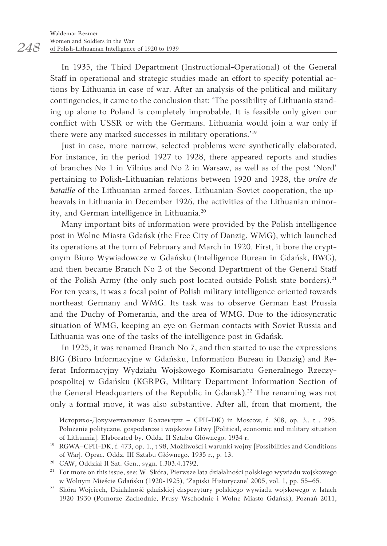In 1935, the Third Department (Instructional-Operational) of the General Staff in operational and strategic studies made an effort to specify potential actions by Lithuania in case of war. After an analysis of the political and military contingencies, it came to the conclusion that: 'The possibility of Lithuania standing up alone to Poland is completely improbable. It is feasible only given our conflict with USSR or with the Germans. Lithuania would join a war only if there were any marked successes in military operations.'<sup>19</sup>

Just in case, more narrow, selected problems were synthetically elaborated. For instance, in the period 1927 to 1928, there appeared reports and studies of branches No 1 in Vilnius and No 2 in Warsaw, as well as of the post 'Nord' pertaining to Polish-Lithuanian relations between 1920 and 1928, the *ordre de bataille* of the Lithuanian armed forces, Lithuanian-Soviet cooperation, the upheavals in Lithuania in December 1926, the activities of the Lithuanian minority, and German intelligence in Lithuania.<sup>20</sup>

Many important bits of information were provided by the Polish intelligence post in Wolne Miasta Gdańsk (the Free City of Danzig, WMG), which launched its operations at the turn of February and March in 1920. First, it bore the cryptonym Biuro Wywiadowcze w Gdańsku (Intelligence Bureau in Gdańsk, BWG), and then became Branch No 2 of the Second Department of the General Staff of the Polish Army (the only such post located outside Polish state borders).<sup>21</sup> For ten years, it was a focal point of Polish military intelligence oriented towards northeast Germany and WMG. Its task was to observe German East Prussia and the Duchy of Pomerania, and the area of WMG. Due to the idiosyncratic situation of WMG, keeping an eye on German contacts with Soviet Russia and Lithuania was one of the tasks of the intelligence post in Gdańsk.

In 1925, it was renamed Branch No 7, and then started to use the expressions BIG (Biuro Informacyjne w Gdańsku, Information Bureau in Danzig) and Referat Informacyjny Wydziału Wojskowego Komisariatu Generalnego Rzeczypospolitej w Gdańsku (KGRPG, Military Department Information Section of the General Headquarters of the Republic in Gdansk).<sup>22</sup> The renaming was not only a formal move, it was also substantive. After all, from that moment, the

Историко-Документальных Коллекции – CPH-DK) in Moscow, f. 308, op. 3., t . 295, Położenie polityczne, gospodarcze i wojskowe Litwy [Political, economic and military situation of Lithuania]. Elaborated by. Oddz. II Sztabu Głównego. 1934 r.

<sup>19</sup> RGWA–CPH-DK, f. 473, op. 1., t 98, Możliwości i warunki wojny [Possibilities and Conditions of War]. Oprac. Oddz. III Sztabu Głównego. 1935 r., p. 13.

<sup>20</sup> CAW, Oddział II Szt. Gen., sygn. I.303.4.1792.

<sup>&</sup>lt;sup>21</sup> For more on this issue, see: W. Skóra, Pierwsze lata działalności polskiego wywiadu wojskowego w Wolnym Mieście Gdańsku (1920-1925), 'Zapiski Historyczne' 2005, vol. 1, pp. 55–65.

<sup>22</sup> Skóra Wojciech, Działalność gdańskiej ekspozytury polskiego wywiadu wojskowego w latach 1920-1930 (Pomorze Zachodnie, Prusy Wschodnie i Wolne Miasto Gdańsk), Poznań 2011,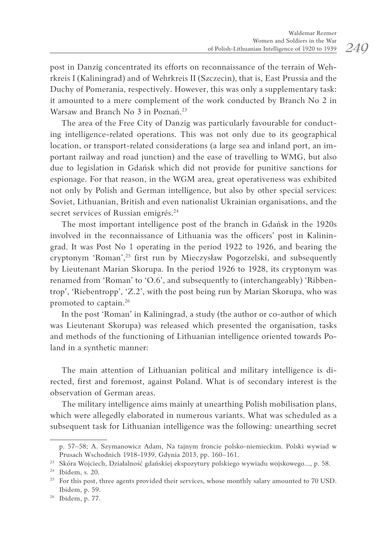post in Danzig concentrated its efforts on reconnaissance of the terrain of Wehrkreis I (Kaliningrad) and of Wehrkreis II (Szczecin), that is, East Prussia and the Duchy of Pomerania, respectively. However, this was only a supplementary task: it amounted to a mere complement of the work conducted by Branch No 2 in Warsaw and Branch No 3 in Poznań.<sup>23</sup>

The area of the Free City of Danzig was particularly favourable for conducting intelligence-related operations. This was not only due to its geographical location, or transport-related considerations (a large sea and inland port, an important railway and road junction) and the ease of travelling to WMG, but also due to legislation in Gdańsk which did not provide for punitive sanctions for espionage. For that reason, in the WGM area, great operativeness was exhibited not only by Polish and German intelligence, but also by other special services: Soviet, Lithuanian, British and even nationalist Ukrainian organisations, and the secret services of Russian emigrés.<sup>24</sup>

The most important intelligence post of the branch in Gdańsk in the 1920s involved in the reconnaissance of Lithuania was the officers' post in Kaliningrad. It was Post No 1 operating in the period 1922 to 1926, and bearing the cryptonym 'Roman',<sup>25</sup> first run by Mieczysław Pogorzelski, and subsequently by Lieutenant Marian Skorupa. In the period 1926 to 1928, its cryptonym was renamed from 'Roman' to 'O.6', and subsequently to (interchangeably) 'Ribbentrop', 'Riebentropp', 'Z.2', with the post being run by Marian Skorupa, who was promoted to captain.<sup>26</sup>

In the post 'Roman' in Kaliningrad, a study (the author or co-author of which was Lieutenant Skorupa) was released which presented the organisation, tasks and methods of the functioning of Lithuanian intelligence oriented towards Poland in a synthetic manner:

The main attention of Lithuanian political and military intelligence is directed, first and foremost, against Poland. What is of secondary interest is the observation of German areas.

The military intelligence aims mainly at unearthing Polish mobilisation plans, which were allegedly elaborated in numerous variants. What was scheduled as a subsequent task for Lithuanian intelligence was the following: unearthing secret

p. 57–58; A. Szymanowicz Adam, Na tajnym froncie polsko-niemieckim. Polski wywiad w Prusach Wschodnich 1918-1939, Gdynia 2013, pp. 160–161.

<sup>23</sup> Skóra Wojciech, Działalność gdańskiej ekspozytury polskiego wywiadu wojskowego..., p. 58.

<sup>24</sup> Ibidem, s. 20.

<sup>&</sup>lt;sup>25</sup> For this post, three agents provided their services, whose monthly salary amounted to 70 USD. Ibidem, p. 59.

<sup>26</sup> Ibidem, p. 77.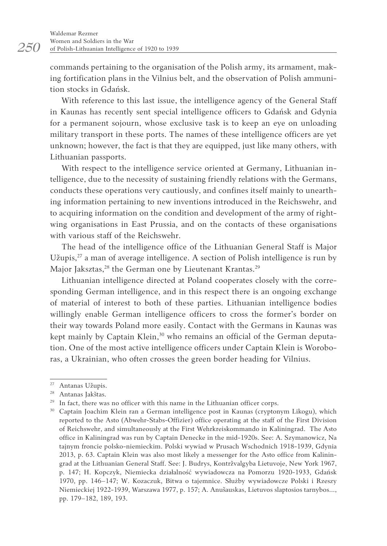commands pertaining to the organisation of the Polish army, its armament, making fortification plans in the Vilnius belt, and the observation of Polish ammunition stocks in Gdańsk.

With reference to this last issue, the intelligence agency of the General Staff in Kaunas has recently sent special intelligence officers to Gdańsk and Gdynia for a permanent sojourn, whose exclusive task is to keep an eye on unloading military transport in these ports. The names of these intelligence officers are yet unknown; however, the fact is that they are equipped, just like many others, with Lithuanian passports.

With respect to the intelligence service oriented at Germany, Lithuanian intelligence, due to the necessity of sustaining friendly relations with the Germans, conducts these operations very cautiously, and confines itself mainly to unearthing information pertaining to new inventions introduced in the Reichswehr, and to acquiring information on the condition and development of the army of rightwing organisations in East Prussia, and on the contacts of these organisations with various staff of the Reichswehr.

The head of the intelligence office of the Lithuanian General Staff is Major Užupis, $^{27}$  a man of average intelligence. A section of Polish intelligence is run by Major Jaksztas,<sup>28</sup> the German one by Lieutenant Krantas.<sup>29</sup>

Lithuanian intelligence directed at Poland cooperates closely with the corresponding German intelligence, and in this respect there is an ongoing exchange of material of interest to both of these parties. Lithuanian intelligence bodies willingly enable German intelligence officers to cross the former's border on their way towards Poland more easily. Contact with the Germans in Kaunas was kept mainly by Captain Klein,<sup>30</sup> who remains an official of the German deputation. One of the most active intelligence officers under Captain Klein is Woroboras, a Ukrainian, who often crosses the green border heading for Vilnius.

<sup>27</sup> Antanas Užupis.

<sup>28</sup> Antanas Jakštas.

 $^{29}$  In fact, there was no officer with this name in the Lithuanian officer corps.  $^{30}$  Captain Joachim Klein ran a German intelligence post in Kaunas (cryptonym Likogu), which reported to the Asto (Abwehr-Stabs-Offizier) office operating at the staff of the First Division of Reichswehr, and simultaneously at the First Wehrkreiskommando in Kaliningrad. The Asto office in Kaliningrad was run by Captain Denecke in the mid-1920s. See: A. Szymanowicz, Na tajnym froncie polsko-niemieckim. Polski wywiad w Prusach Wschodnich 1918-1939, Gdynia 2013, p. 63. Captain Klein was also most likely a messenger for the Asto office from Kaliningrad at the Lithuanian General Staff. See: J. Budrys, Kontržvalgyba Lietuvoje, New York 1967, p. 147; H. Kopczyk, Niemiecka działalność wywiadowcza na Pomorzu 1920-1933, Gdańsk 1970, pp. 146–147; W. Kozaczuk, Bitwa o tajemnice. Służby wywiadowcze Polski i Rzeszy Niemieckiej 1922-1939, Warszawa 1977, p. 157; A. Anušauskas, Lietuvos slaptosios tarnybos…, pp. 179–182, 189, 193.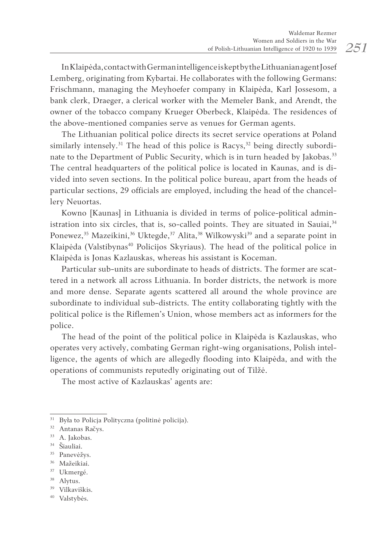In Klaipėda, contact with German intelligence is kept by the Lithuanian agentJosef Lemberg, originating from Kybartai. He collaborates with the following Germans: Frischmann, managing the Meyhoefer company in Klaipėda, Karl Jossesom, a bank clerk, Draeger, a clerical worker with the Memeler Bank, and Arendt, the owner of the tobacco company Krueger Oberbeck, Klaipėda. The residences of the above-mentioned companies serve as venues for German agents.

The Lithuanian political police directs its secret service operations at Poland similarly intensely.<sup>31</sup> The head of this police is Racys,<sup>32</sup> being directly subordinate to the Department of Public Security, which is in turn headed by Jakobas.<sup>33</sup> The central headquarters of the political police is located in Kaunas, and is divided into seven sections. In the political police bureau, apart from the heads of particular sections, 29 officials are employed, including the head of the chancellery Neuortas.

Kowno [Kaunas] in Lithuania is divided in terms of police-political administration into six circles, that is, so-called points. They are situated in Sauiai, $34$ Ponewez,<sup>35</sup> Mazeikini,<sup>36</sup> Uktegde,<sup>37</sup> Alita,<sup>38</sup> Wilkowyski<sup>39</sup> and a separate point in Klaipėda (Valstibynas<sup>40</sup> Policijos Skyriaus). The head of the political police in Klaipėda is Jonas Kazlauskas, whereas his assistant is Koceman.

Particular sub-units are subordinate to heads of districts. The former are scattered in a network all across Lithuania. In border districts, the network is more and more dense. Separate agents scattered all around the whole province are subordinate to individual sub-districts. The entity collaborating tightly with the political police is the Riflemen's Union, whose members act as informers for the police.

The head of the point of the political police in Klaipėda is Kazlauskas, who operates very actively, combating German right-wing organisations, Polish intelligence, the agents of which are allegedly flooding into Klaipėda, and with the operations of communists reputedly originating out of Tilžė.

The most active of Kazlauskas' agents are:

- <sup>34</sup> Šiauliai.
- <sup>35</sup> Panevėžys.
- <sup>36</sup> Mažeikiai.
- <sup>37</sup> Ukmergé.
- 38 Alytus.
- <sup>39</sup> Vilkaviškis.
- <sup>40</sup> Valstybės.

 $^{31}$  Była to Policja Polityczna (politinė policija).  $^{32}$  Antanas Račys.

<sup>&</sup>lt;sup>33</sup> A. Jakobas.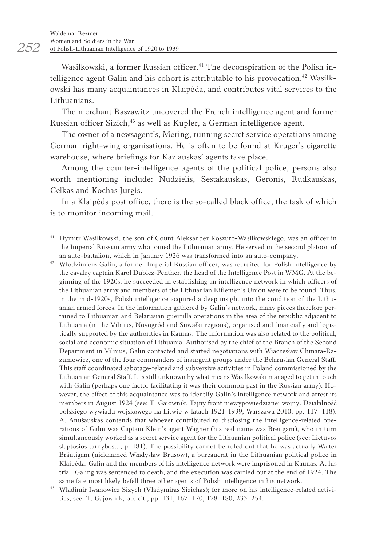Wasilkowski, a former Russian officer.<sup>41</sup> The deconspiration of the Polish intelligence agent Galin and his cohort is attributable to his provocation.<sup>42</sup> Wasilkowski has many acquaintances in Klaipėda, and contributes vital services to the Lithuanians.

The merchant Raszawitz uncovered the French intelligence agent and former Russian officer Sizich,<sup>43</sup> as well as Kupler, a German intelligence agent.

The owner of a newsagent's, Mering, running secret service operations among German right-wing organisations. He is often to be found at Kruger's cigarette warehouse, where briefings for Kazlauskas' agents take place.

Among the counter-intelligence agents of the political police, persons also worth mentioning include: Nudzielis, Sestakauskas, Geronis, Rudkauskas, Celkas and Kochas Jurgis.

In a Klaipėda post office, there is the so-called black office, the task of which is to monitor incoming mail.

<sup>42</sup> Włodzimierz Galin, a former Imperial Russian officer, was recruited for Polish intelligence by the cavalry captain Karol Dubicz-Penther, the head of the Intelligence Post in WMG. At the beginning of the 1920s, he succeeded in establishing an intelligence network in which officers of the Lithuanian army and members of the Lithuanian Riflemen's Union were to be found. Thus, in the mid-1920s, Polish intelligence acquired a deep insight into the condition of the Lithuanian armed forces. In the information gathered by Galin's network, many pieces therefore pertained to Lithuanian and Belarusian guerrilla operations in the area of the republic adjacent to Lithuania (in the Vilnius, Novogród and Suwałki regions), organised and financially and logistically supported by the authorities in Kaunas. The information was also related to the political, social and economic situation of Lithuania. Authorised by the chief of the Branch of the Second Department in Vilnius, Galin contacted and started negotiations with Wiaczesław Chmara-Razumowicz, one of the four commanders of insurgent groups under the Belarusian General Staff. This staff coordinated sabotage-related and subversive activities in Poland commissioned by the Lithuanian General Staff. It is still unknown by what means Wasilkowski managed to get in touch with Galin (perhaps one factor facilitating it was their common past in the Russian army). However, the effect of this acquaintance was to identify Galin's intelligence network and arrest its members in August 1924 (see: T. Gajownik, Tajny front niewypowiedzianej wojny. Działalność polskiego wywiadu wojskowego na Litwie w latach 1921-1939, Warszawa 2010, pp. 117–118). A. Anušauskas contends that whoever contributed to disclosing the intelligence-related operations of Galin was Captain Klein's agent Wagner (his real name was Breitgam), who in turn simultaneously worked as a secret service agent for the Lithuanian political police (see: Lietuvos slaptosios tarnybos…, p. 181). The possibility cannot be ruled out that he was actually Walter Bräutigam (nicknamed Władysław Brusow), a bureaucrat in the Lithuanian political police in Klaipėda. Galin and the members of his intelligence network were imprisoned in Kaunas. At his trial, Galing was sentenced to death, and the execution was carried out at the end of 1924. The

<sup>41</sup> Dymitr Wasilkowski, the son of Count Aleksander Koszuro-Wasilkowskiego, was an officer in the Imperial Russian army who joined the Lithuanian army. He served in the second platoon of an auto-battalion, which in January 1926 was transformed into an auto-company.

same fate most likely befell three other agents of Polish intelligence in his network. 43 Władimir Iwanowicz Sizych (Vladymiras Sizichas); for more on his intelligence-related activities, see: T. Gajownik, op. cit., pp. 131, 167–170, 178–180, 233–254.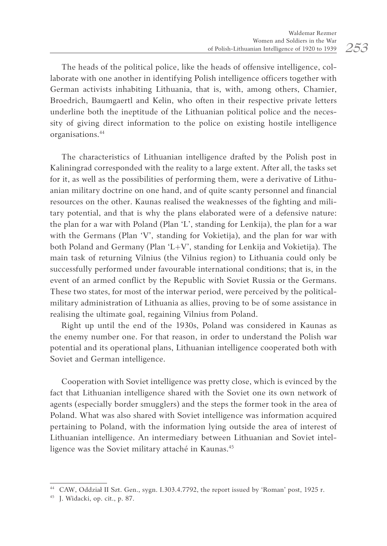The heads of the political police, like the heads of offensive intelligence, collaborate with one another in identifying Polish intelligence officers together with German activists inhabiting Lithuania, that is, with, among others, Chamier, Broedrich, Baumgaertl and Kelin, who often in their respective private letters underline both the ineptitude of the Lithuanian political police and the necessity of giving direct information to the police on existing hostile intelligence organisations.44

The characteristics of Lithuanian intelligence drafted by the Polish post in Kaliningrad corresponded with the reality to a large extent. After all, the tasks set for it, as well as the possibilities of performing them, were a derivative of Lithuanian military doctrine on one hand, and of quite scanty personnel and financial resources on the other. Kaunas realised the weaknesses of the fighting and military potential, and that is why the plans elaborated were of a defensive nature: the plan for a war with Poland (Plan 'L', standing for Lenkija), the plan for a war with the Germans (Plan 'V', standing for Vokietija), and the plan for war with both Poland and Germany (Plan 'L+V', standing for Lenkija and Vokietija). The main task of returning Vilnius (the Vilnius region) to Lithuania could only be successfully performed under favourable international conditions; that is, in the event of an armed conflict by the Republic with Soviet Russia or the Germans. These two states, for most of the interwar period, were perceived by the politicalmilitary administration of Lithuania as allies, proving to be of some assistance in realising the ultimate goal, regaining Vilnius from Poland.

Right up until the end of the 1930s, Poland was considered in Kaunas as the enemy number one. For that reason, in order to understand the Polish war potential and its operational plans, Lithuanian intelligence cooperated both with Soviet and German intelligence.

Cooperation with Soviet intelligence was pretty close, which is evinced by the fact that Lithuanian intelligence shared with the Soviet one its own network of agents (especially border smugglers) and the steps the former took in the area of Poland. What was also shared with Soviet intelligence was information acquired pertaining to Poland, with the information lying outside the area of interest of Lithuanian intelligence. An intermediary between Lithuanian and Soviet intelligence was the Soviet military attaché in Kaunas.<sup>45</sup>

<sup>44</sup> CAW, Oddział II Szt. Gen., sygn. I.303.4.7792, the report issued by 'Roman' post, 1925 r.

<sup>45</sup> J. Widacki, op. cit., p. 87.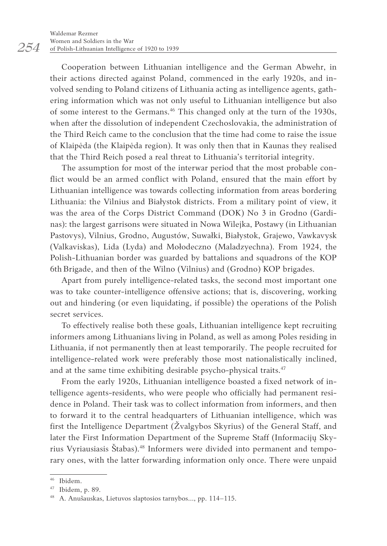Cooperation between Lithuanian intelligence and the German Abwehr, in their actions directed against Poland, commenced in the early 1920s, and involved sending to Poland citizens of Lithuania acting as intelligence agents, gathering information which was not only useful to Lithuanian intelligence but also of some interest to the Germans.<sup>46</sup> This changed only at the turn of the 1930s, when after the dissolution of independent Czechoslovakia, the administration of the Third Reich came to the conclusion that the time had come to raise the issue of Klaipėda (the Klaipėda region). It was only then that in Kaunas they realised that the Third Reich posed a real threat to Lithuania's territorial integrity.

The assumption for most of the interwar period that the most probable conflict would be an armed conflict with Poland, ensured that the main effort by Lithuanian intelligence was towards collecting information from areas bordering Lithuania: the Vilnius and Białystok districts. From a military point of view, it was the area of the Corps District Command (DOK) No 3 in Grodno (Gardinas): the largest garrisons were situated in Nowa Wilejka, Postawy (in Lithuanian Pastovys), Vilnius, Grodno, Augustów, Suwałki, Białystok, Grajewo, Vawkavysk (Valkaviskas), Lida (Lyda) and Mołodeczno (Maladzyechna). From 1924, the Polish-Lithuanian border was guarded by battalions and squadrons of the KOP 6th Brigade, and then of the Wilno (Vilnius) and (Grodno) KOP brigades.

Apart from purely intelligence-related tasks, the second most important one was to take counter-intelligence offensive actions; that is, discovering, working out and hindering (or even liquidating, if possible) the operations of the Polish secret services.

To effectively realise both these goals, Lithuanian intelligence kept recruiting informers among Lithuanians living in Poland, as well as among Poles residing in Lithuania, if not permanently then at least temporarily. The people recruited for intelligence-related work were preferably those most nationalistically inclined, and at the same time exhibiting desirable psycho-physical traits.<sup>47</sup>

From the early 1920s, Lithuanian intelligence boasted a fixed network of intelligence agents-residents, who were people who officially had permanent residence in Poland. Their task was to collect information from informers, and then to forward it to the central headquarters of Lithuanian intelligence, which was first the Intelligence Department (Žvalgybos Skyrius) of the General Staff, and later the First Information Department of the Supreme Staff (Informacijų Skyrius Vyriausiasis Štabas).<sup>48</sup> Informers were divided into permanent and temporary ones, with the latter forwarding information only once. There were unpaid

*254*

<sup>46</sup> Ibidem.

<sup>47</sup> Ibidem, p. 89.

<sup>48</sup> A. Anušauskas, Lietuvos slaptosios tarnybos…, pp. 114–115.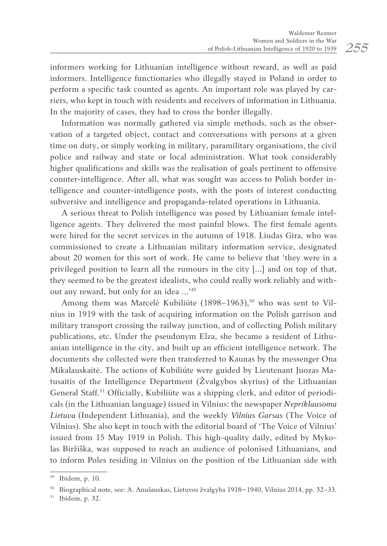informers working for Lithuanian intelligence without reward, as well as paid informers. Intelligence functionaries who illegally stayed in Poland in order to perform a specific task counted as agents. An important role was played by carriers, who kept in touch with residents and receivers of information in Lithuania. In the majority of cases, they had to cross the border illegally.

Information was normally gathered via simple methods, such as the observation of a targeted object, contact and conversations with persons at a given time on duty, or simply working in military, paramilitary organisations, the civil police and railway and state or local administration. What took considerably higher qualifications and skills was the realisation of goals pertinent to offensive counter-intelligence. After all, what was sought was access to Polish border intelligence and counter-intelligence posts, with the posts of interest conducting subversive and intelligence and propaganda-related operations in Lithuania.

A serious threat to Polish intelligence was posed by Lithuanian female intelligence agents. They delivered the most painful blows. The first female agents were hired for the secret services in the autumn of 1918. Liudas Gira, who was commissioned to create a Lithuanian military information service, designated about 20 women for this sort of work. He came to believe that 'they were in a privileged position to learn all the rumours in the city […] and on top of that, they seemed to be the greatest idealists, who could really work reliably and without any reward, but only for an idea …'<sup>49</sup>

Among them was Marcelė Kubiliūte  $(1898-1963)$ ,<sup>50</sup> who was sent to Vilnius in 1919 with the task of acquiring information on the Polish garrison and military transport crossing the railway junction, and of collecting Polish military publications, etc. Under the pseudonym Elza, she became a resident of Lithuanian intelligence in the city, and built up an efficient intelligence network. The documents she collected were then transferred to Kaunas by the messenger Ona Mikalauskaitė. The actions of Kubiliūte were guided by Lieutenant Juozas Matusaitis of the Intelligence Department (Žvalgybos skyrius) of the Lithuanian General Staff.<sup>51</sup> Officially, Kubiliūte was a shipping clerk, and editor of periodicals (in the Lithuanian language) issued in Vilnius: the newspaper *Nepriklausoma Lietuva* (Independent Lithuania), and the weekly *Vilnius Garsas* (The Voice of Vilnius). She also kept in touch with the editorial board of 'The Voice of Vilnius' issued from 15 May 1919 in Polish. This high-quality daily, edited by Mykolas Biržiška, was supposed to reach an audience of polonised Lithuanians, and to inform Poles residing in Vilnius on the position of the Lithuanian side with

<sup>49</sup> Ibidem, p. 10.

<sup>50</sup> Biographical note, see: A. Anušauskas, Lietuvos žvalgyba 1918–1940, Vilnius 2014, pp. 32–33.

<sup>51</sup> Ibidem, p. 32.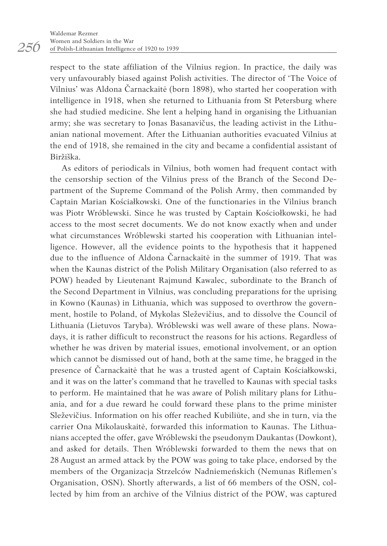respect to the state affiliation of the Vilnius region. In practice, the daily was very unfavourably biased against Polish activities. The director of 'The Voice of Vilnius' was Aldona Čarnackaitė (born 1898), who started her cooperation with intelligence in 1918, when she returned to Lithuania from St Petersburg where she had studied medicine. She lent a helping hand in organising the Lithuanian army; she was secretary to Jonas Basanavičus, the leading activist in the Lithuanian national movement. After the Lithuanian authorities evacuated Vilnius at the end of 1918, she remained in the city and became a confidential assistant of Biržiška.

As editors of periodicals in Vilnius, both women had frequent contact with the censorship section of the Vilnius press of the Branch of the Second Department of the Supreme Command of the Polish Army, then commanded by Captain Marian Kościałkowski. One of the functionaries in the Vilnius branch was Piotr Wróblewski. Since he was trusted by Captain Kościołkowski, he had access to the most secret documents. We do not know exactly when and under what circumstances Wróblewski started his cooperation with Lithuanian intelligence. However, all the evidence points to the hypothesis that it happened due to the influence of Aldona Čarnackaitė in the summer of 1919. That was when the Kaunas district of the Polish Military Organisation (also referred to as POW) headed by Lieutenant Rajmund Kawalec, subordinate to the Branch of the Second Department in Vilnius, was concluding preparations for the uprising in Kowno (Kaunas) in Lithuania, which was supposed to overthrow the government, hostile to Poland, of Mykolas Sleževičius, and to dissolve the Council of Lithuania (Lietuvos Taryba). Wróblewski was well aware of these plans. Nowadays, it is rather difficult to reconstruct the reasons for his actions. Regardless of whether he was driven by material issues, emotional involvement, or an option which cannot be dismissed out of hand, both at the same time, he bragged in the presence of Čarnackaitė that he was a trusted agent of Captain Kościałkowski, and it was on the latter's command that he travelled to Kaunas with special tasks to perform. He maintained that he was aware of Polish military plans for Lithuania, and for a due reward he could forward these plans to the prime minister Sleževičius. Information on his offer reached Kubiliūte, and she in turn, via the carrier Ona Mikolauskaitė, forwarded this information to Kaunas. The Lithuanians accepted the offer, gave Wróblewski the pseudonym Daukantas (Dowkont), and asked for details. Then Wróblewski forwarded to them the news that on 28August an armed attack by the POW was going to take place, endorsed by the members of the Organizacja Strzelców Nadniemeńskich (Nemunas Riflemen's Organisation, OSN). Shortly afterwards, a list of 66 members of the OSN, collected by him from an archive of the Vilnius district of the POW, was captured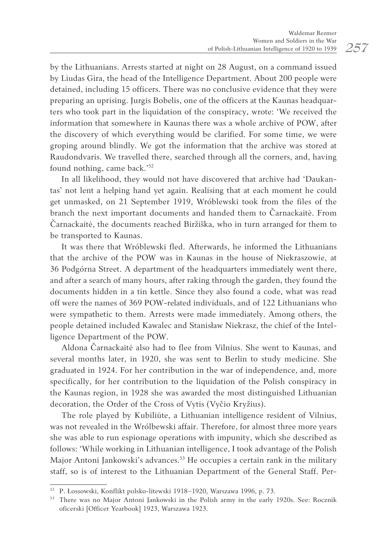by the Lithuanians. Arrests started at night on 28 August, on a command issued by Liudas Gira, the head of the Intelligence Department. About 200 people were detained, including 15 officers. There was no conclusive evidence that they were preparing an uprising. Jurgis Bobelis, one of the officers at the Kaunas headquarters who took part in the liquidation of the conspiracy, wrote: 'We received the information that somewhere in Kaunas there was a whole archive of POW, after the discovery of which everything would be clarified. For some time, we were groping around blindly. We got the information that the archive was stored at Raudondvaris. We travelled there, searched through all the corners, and, having found nothing, came back.'52

In all likelihood, they would not have discovered that archive had 'Daukantas' not lent a helping hand yet again. Realising that at each moment he could get unmasked, on 21 September 1919, Wróblewski took from the files of the branch the next important documents and handed them to Čarnackaitė. From Čarnackaitė, the documents reached Biržiška, who in turn arranged for them to be transported to Kaunas.

It was there that Wróblewski fled. Afterwards, he informed the Lithuanians that the archive of the POW was in Kaunas in the house of Niekraszowie, at 36 Podgórna Street. A department of the headquarters immediately went there, and after a search of many hours, after raking through the garden, they found the documents hidden in a tin kettle. Since they also found a code, what was read off were the names of 369 POW-related individuals, and of 122 Lithuanians who were sympathetic to them. Arrests were made immediately. Among others, the people detained included Kawalec and Stanisław Niekrasz, the chief of the Intelligence Department of the POW.

Aldona Čarnackaitė also had to flee from Vilnius. She went to Kaunas, and several months later, in 1920, she was sent to Berlin to study medicine. She graduated in 1924. For her contribution in the war of independence, and, more specifically, for her contribution to the liquidation of the Polish conspiracy in the Kaunas region, in 1928 she was awarded the most distinguished Lithuanian decoration, the Order of the Cross of Vytis (Vyčio Kryžius).

The role played by Kubiliūte, a Lithuanian intelligence resident of Vilnius, was not revealed in the Wrólbewski affair. Therefore, for almost three more years she was able to run espionage operations with impunity, which she described as follows: 'While working in Lithuanian intelligence, I took advantage of the Polish Major Antoni Jankowski's advances.<sup>53</sup> He occupies a certain rank in the military staff, so is of interest to the Lithuanian Department of the General Staff. Per-

<sup>52</sup> P. Łossowski, Konflikt polsko-litewski 1918–1920, Warszawa 1996, p. 73.

<sup>&</sup>lt;sup>53</sup> There was no Major Antoni Jankowski in the Polish army in the early 1920s. See: Rocznik oficerski [Officer Yearbook] 1923, Warszawa 1923.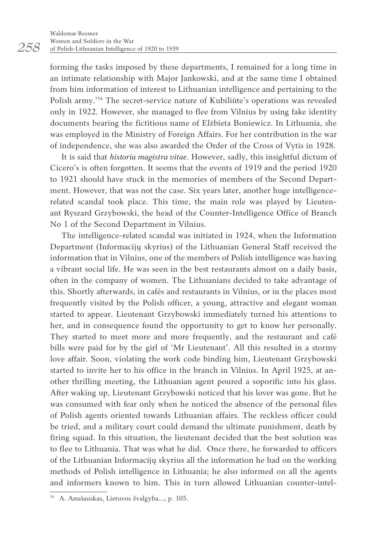forming the tasks imposed by these departments, I remained for a long time in an intimate relationship with Major Jankowski, and at the same time I obtained from him information of interest to Lithuanian intelligence and pertaining to the Polish army.'54 The secret-service nature of Kubiliūte's operations was revealed only in 1922. However, she managed to flee from Vilnius by using fake identity documents bearing the fictitious name of Elżbieta Boniewicz. In Lithuania, she was employed in the Ministry of Foreign Affairs. For her contribution in the war of independence, she was also awarded the Order of the Cross of Vytis in 1928.

It is said that *historia magistra vitae*. However, sadly, this insightful dictum of Cicero's is often forgotten. It seems that the events of 1919 and the period 1920 to 1921 should have stuck in the memories of members of the Second Department. However, that was not the case. Six years later, another huge intelligencerelated scandal took place. This time, the main role was played by Lieutenant Ryszard Grzybowski, the head of the Counter-Intelligence Office of Branch No 1 of the Second Department in Vilnius.

The intelligence-related scandal was initiated in 1924, when the Information Department (Informacijų skyrius) of the Lithuanian General Staff received the information that in Vilnius, one of the members of Polish intelligence was having a vibrant social life. He was seen in the best restaurants almost on a daily basis, often in the company of women. The Lithuanians decided to take advantage of this. Shortly afterwards, in cafés and restaurants in Vilnius, or in the places most frequently visited by the Polish officer, a young, attractive and elegant woman started to appear. Lieutenant Grzybowski immediately turned his attentions to her, and in consequence found the opportunity to get to know her personally. They started to meet more and more frequently, and the restaurant and café bills were paid for by the girl of 'Mr Lieutenant'. All this resulted in a stormy love affair. Soon, violating the work code binding him, Lieutenant Grzybowski started to invite her to his office in the branch in Vilnius. In April 1925, at another thrilling meeting, the Lithuanian agent poured a soporific into his glass. After waking up, Lieutenant Grzybowski noticed that his lover was gone. But he was consumed with fear only when he noticed the absence of the personal files of Polish agents oriented towards Lithuanian affairs. The reckless officer could be tried, and a military court could demand the ultimate punishment, death by firing squad. In this situation, the lieutenant decided that the best solution was to flee to Lithuania. That was what he did. Once there, he forwarded to officers of the Lithuanian Informacijų skyrius all the information he had on the working methods of Polish intelligence in Lithuania; he also informed on all the agents and informers known to him. This in turn allowed Lithuanian counter-intel-

*258*

<sup>54</sup> A. Anušauskas, Lietuvos žvalgyba…, p. 105.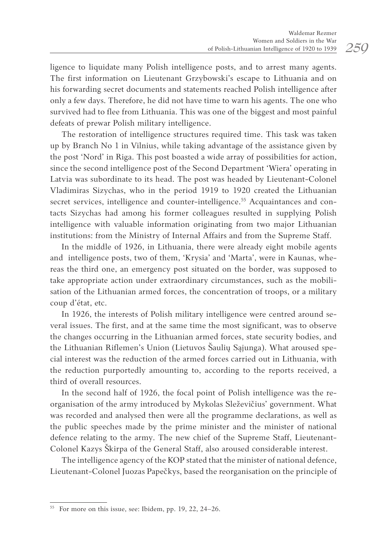ligence to liquidate many Polish intelligence posts, and to arrest many agents. The first information on Lieutenant Grzybowski's escape to Lithuania and on his forwarding secret documents and statements reached Polish intelligence after only a few days. Therefore, he did not have time to warn his agents. The one who survived had to flee from Lithuania. This was one of the biggest and most painful defeats of prewar Polish military intelligence.

The restoration of intelligence structures required time. This task was taken up by Branch No 1 in Vilnius, while taking advantage of the assistance given by the post 'Nord' in Riga. This post boasted a wide array of possibilities for action, since the second intelligence post of the Second Department 'Wiera' operating in Latvia was subordinate to its head. The post was headed by Lieutenant-Colonel Vladimiras Sizychas, who in the period 1919 to 1920 created the Lithuanian secret services, intelligence and counter-intelligence.<sup>55</sup> Acquaintances and contacts Sizychas had among his former colleagues resulted in supplying Polish intelligence with valuable information originating from two major Lithuanian institutions: from the Ministry of Internal Affairs and from the Supreme Staff.

In the middle of 1926, in Lithuania, there were already eight mobile agents and intelligence posts, two of them, 'Krysia' and 'Marta', were in Kaunas, whereas the third one, an emergency post situated on the border, was supposed to take appropriate action under extraordinary circumstances, such as the mobilisation of the Lithuanian armed forces, the concentration of troops, or a military coup d'état, etc.

In 1926, the interests of Polish military intelligence were centred around several issues. The first, and at the same time the most significant, was to observe the changes occurring in the Lithuanian armed forces, state security bodies, and the Lithuanian Riflemen's Union (Lietuvos Šaulių Sąjunga). What aroused special interest was the reduction of the armed forces carried out in Lithuania, with the reduction purportedly amounting to, according to the reports received, a third of overall resources.

In the second half of 1926, the focal point of Polish intelligence was the reorganisation of the army introduced by Mykolas Sleževičius' government. What was recorded and analysed then were all the programme declarations, as well as the public speeches made by the prime minister and the minister of national defence relating to the army. The new chief of the Supreme Staff, Lieutenant-Colonel Kazys Škirpa of the General Staff, also aroused considerable interest.

The intelligence agency of the KOP stated that the minister of national defence, Lieutenant-Colonel Juozas Papečkys, based the reorganisation on the principle of

<sup>55</sup> For more on this issue, see: Ibidem, pp. 19, 22, 24–26.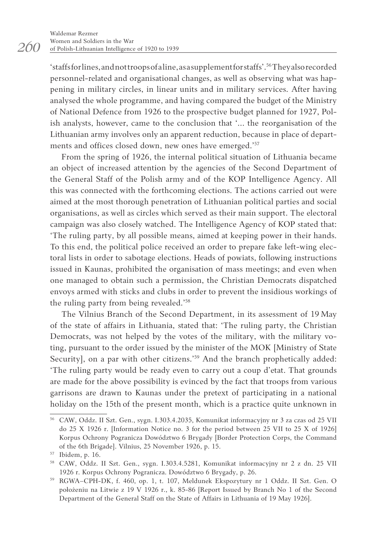'staffs for lines, and not troops of a line, as a supplement for staffs'.<sup>56</sup>They also recorded personnel-related and organisational changes, as well as observing what was happening in military circles, in linear units and in military services. After having analysed the whole programme, and having compared the budget of the Ministry of National Defence from 1926 to the prospective budget planned for 1927, Polish analysts, however, came to the conclusion that '... the reorganisation of the Lithuanian army involves only an apparent reduction, because in place of departments and offices closed down, new ones have emerged.'57

From the spring of 1926, the internal political situation of Lithuania became an object of increased attention by the agencies of the Second Department of the General Staff of the Polish army and of the KOP Intelligence Agency. All this was connected with the forthcoming elections. The actions carried out were aimed at the most thorough penetration of Lithuanian political parties and social organisations, as well as circles which served as their main support. The electoral campaign was also closely watched. The Intelligence Agency of KOP stated that: 'The ruling party, by all possible means, aimed at keeping power in their hands. To this end, the political police received an order to prepare fake left-wing electoral lists in order to sabotage elections. Heads of powiats, following instructions issued in Kaunas, prohibited the organisation of mass meetings; and even when one managed to obtain such a permission, the Christian Democrats dispatched envoys armed with sticks and clubs in order to prevent the insidious workings of the ruling party from being revealed.'58

The Vilnius Branch of the Second Department, in its assessment of 19 May of the state of affairs in Lithuania, stated that: 'The ruling party, the Christian Democrats, was not helped by the votes of the military, with the military voting, pursuant to the order issued by the minister of the MOK [Ministry of State Security], on a par with other citizens.'<sup>59</sup> And the branch prophetically added: 'The ruling party would be ready even to carry out a coup d'etat. That grounds are made for the above possibility is evinced by the fact that troops from various garrisons are drawn to Kaunas under the pretext of participating in a national holiday on the 15th of the present month, which is a practice quite unknown in

*260*

<sup>56</sup> CAW, Oddz. II Szt. Gen., sygn. I.303.4.2035, Komunikat informacyjny nr 3 za czas od 25 VII do 25 X 1926 r. [Information Notice no. 3 for the period between 25 VII to 25 X of 1926] Korpus Ochrony Pogranicza Dowództwo 6 Brygady [Border Protection Corps, the Command of the 6th Brigade]. Vilnius, 25 November 1926, p. 15.

<sup>58</sup> CAW, Oddz. II Szt. Gen., sygn. I.303.4.5281, Komunikat informacyjny nr 2 z dn. 25 VII

<sup>1926</sup> r. Korpus Ochrony Pogranicza. Dowództwo 6 Brygady, p. 26. 59 RGWA–CPH-DK, f. 460, op. 1, t. 107, Meldunek Ekspozytury nr 1 Oddz. II Szt. Gen. O położeniu na Litwie z 19 V 1926 r., k. 85-86 [Report Issued by Branch No 1 of the Second Department of the General Staff on the State of Affairs in Lithuania of 19 May 1926].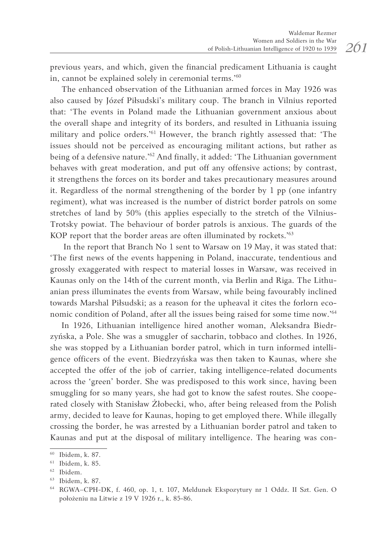previous years, and which, given the financial predicament Lithuania is caught in, cannot be explained solely in ceremonial terms.'60

The enhanced observation of the Lithuanian armed forces in May 1926 was also caused by Józef Piłsudski's military coup. The branch in Vilnius reported that: 'The events in Poland made the Lithuanian government anxious about the overall shape and integrity of its borders, and resulted in Lithuania issuing military and police orders.'<sup>61</sup> However, the branch rightly assessed that: 'The issues should not be perceived as encouraging militant actions, but rather as being of a defensive nature.'<sup>62</sup> And finally, it added: 'The Lithuanian government behaves with great moderation, and put off any offensive actions; by contrast, it strengthens the forces on its border and takes precautionary measures around it. Regardless of the normal strengthening of the border by 1 pp (one infantry regiment), what was increased is the number of district border patrols on some stretches of land by 50% (this applies especially to the stretch of the Vilnius-Trotsky powiat. The behaviour of border patrols is anxious. The guards of the KOP report that the border areas are often illuminated by rockets.'63

In the report that Branch No 1 sent to Warsaw on 19 May, it was stated that: 'The first news of the events happening in Poland, inaccurate, tendentious and grossly exaggerated with respect to material losses in Warsaw, was received in Kaunas only on the 14th of the current month, via Berlin and Riga. The Lithuanian press illuminates the events from Warsaw, while being favourably inclined towards Marshal Piłsudski; as a reason for the upheaval it cites the forlorn economic condition of Poland, after all the issues being raised for some time now.'<sup>64</sup>

In 1926, Lithuanian intelligence hired another woman, Aleksandra Biedrzyńska, a Pole. She was a smuggler of saccharin, tobbaco and clothes. In 1926, she was stopped by a Lithuanian border patrol, which in turn informed intelligence officers of the event. Biedrzyńska was then taken to Kaunas, where she accepted the offer of the job of carrier, taking intelligence-related documents across the 'green' border. She was predisposed to this work since, having been smuggling for so many years, she had got to know the safest routes. She cooperated closely with Stanisław Żłobecki, who, after being released from the Polish army, decided to leave for Kaunas, hoping to get employed there. While illegally crossing the border, he was arrested by a Lithuanian border patrol and taken to Kaunas and put at the disposal of military intelligence. The hearing was con-

<sup>60</sup> Ibidem, k. 87.

<sup>61</sup> Ibidem, k. 85.

<sup>62</sup> Ibidem.

<sup>63</sup> Ibidem, k. 87.

<sup>64</sup> RGWA–CPH-DK, f. 460, op. 1, t. 107, Meldunek Ekspozytury nr 1 Oddz. II Szt. Gen. O położeniu na Litwie z 19 V 1926 r., k. 85-86.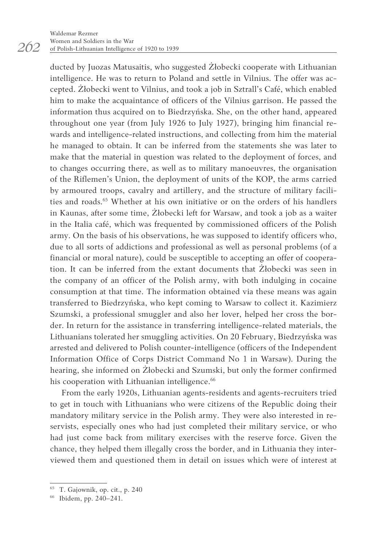ducted by Juozas Matusaitis, who suggested Żłobecki cooperate with Lithuanian intelligence. He was to return to Poland and settle in Vilnius. The offer was accepted. Żłobecki went to Vilnius, and took a job in Sztrall's Café, which enabled him to make the acquaintance of officers of the Vilnius garrison. He passed the information thus acquired on to Biedrzyńska. She, on the other hand, appeared throughout one year (from July 1926 to July 1927), bringing him financial rewards and intelligence-related instructions, and collecting from him the material he managed to obtain. It can be inferred from the statements she was later to make that the material in question was related to the deployment of forces, and to changes occurring there, as well as to military manoeuvres, the organisation of the Riflemen's Union, the deployment of units of the KOP, the arms carried by armoured troops, cavalry and artillery, and the structure of military facilities and roads.65 Whether at his own initiative or on the orders of his handlers in Kaunas, after some time, Żłobecki left for Warsaw, and took a job as a waiter in the Italia café, which was frequented by commissioned officers of the Polish army. On the basis of his observations, he was supposed to identify officers who, due to all sorts of addictions and professional as well as personal problems (of a financial or moral nature), could be susceptible to accepting an offer of cooperation. It can be inferred from the extant documents that Żłobecki was seen in the company of an officer of the Polish army, with both indulging in cocaine consumption at that time. The information obtained via these means was again transferred to Biedrzyńska, who kept coming to Warsaw to collect it. Kazimierz Szumski, a professional smuggler and also her lover, helped her cross the border. In return for the assistance in transferring intelligence-related materials, the Lithuanians tolerated her smuggling activities. On 20 February, Biedrzyńska was arrested and delivered to Polish counter-intelligence (officers of the Independent Information Office of Corps District Command No 1 in Warsaw). During the hearing, she informed on Żłobecki and Szumski, but only the former confirmed his cooperation with Lithuanian intelligence.<sup>66</sup>

From the early 1920s, Lithuanian agents-residents and agents-recruiters tried to get in touch with Lithuanians who were citizens of the Republic doing their mandatory military service in the Polish army. They were also interested in reservists, especially ones who had just completed their military service, or who had just come back from military exercises with the reserve force. Given the chance, they helped them illegally cross the border, and in Lithuania they interviewed them and questioned them in detail on issues which were of interest at

*262*

<sup>65</sup> T. Gajownik, op. cit., p. 240

<sup>66</sup> Ibidem, pp. 240–241.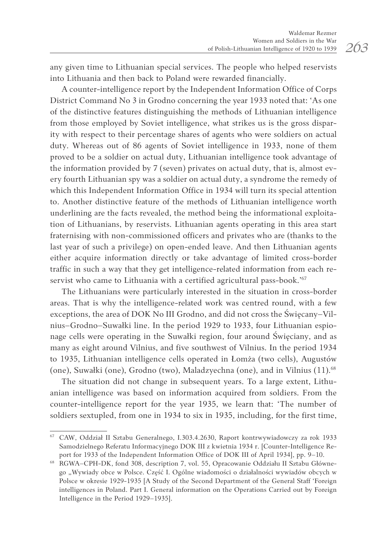any given time to Lithuanian special services. The people who helped reservists into Lithuania and then back to Poland were rewarded financially.

A counter-intelligence report by the Independent Information Office of Corps District Command No 3 in Grodno concerning the year 1933 noted that: 'As one of the distinctive features distinguishing the methods of Lithuanian intelligence from those employed by Soviet intelligence, what strikes us is the gross disparity with respect to their percentage shares of agents who were soldiers on actual duty. Whereas out of 86 agents of Soviet intelligence in 1933, none of them proved to be a soldier on actual duty, Lithuanian intelligence took advantage of the information provided by 7 (seven) privates on actual duty, that is, almost every fourth Lithuanian spy was a soldier on actual duty, a syndrome the remedy of which this Independent Information Office in 1934 will turn its special attention to. Another distinctive feature of the methods of Lithuanian intelligence worth underlining are the facts revealed, the method being the informational exploitation of Lithuanians, by reservists. Lithuanian agents operating in this area start fraternising with non-commissioned officers and privates who are (thanks to the last year of such a privilege) on open-ended leave. And then Lithuanian agents either acquire information directly or take advantage of limited cross-border traffic in such a way that they get intelligence-related information from each reservist who came to Lithuania with a certified agricultural pass-book.'<sup>67</sup>

The Lithuanians were particularly interested in the situation in cross-border areas. That is why the intelligence-related work was centred round, with a few exceptions, the area of DOK No III Grodno, and did not cross the Święcany–Vilnius–Grodno–Suwałki line. In the period 1929 to 1933, four Lithuanian espionage cells were operating in the Suwałki region, four around Święciany, and as many as eight around Vilnius, and five southwest of Vilnius. In the period 1934 to 1935, Lithuanian intelligence cells operated in Łomża (two cells), Augustów (one), Suwałki (one), Grodno (two), Maladzyechna (one), and in Vilnius (11).68

The situation did not change in subsequent years. To a large extent, Lithuanian intelligence was based on information acquired from soldiers. From the counter-intelligence report for the year 1935, we learn that: 'The number of soldiers sextupled, from one in 1934 to six in 1935, including, for the first time,

<sup>67</sup> CAW, Oddział II Sztabu Generalnego, I.303.4.2630, Raport kontrwywiadowczy za rok 1933 Samodzielnego Referatu Informacyjnego DOK III z kwietnia 1934 r. [Counter-Intelligence Report for 1933 of the Independent Information Office of DOK III of April 1934], pp. 9–10.

<sup>68</sup> RGWA–CPH-DK, fond 308, description 7, vol. 55, Opracowanie Oddziału II Sztabu Głównego "Wywiady obce w Polsce. Część I. Ogólne wiadomości o działalności wywiadów obcych w Polsce w okresie 1929-1935 [A Study of the Second Department of the General Staff 'Foreign intelligences in Poland. Part I. General information on the Operations Carried out by Foreign Intelligence in the Period 1929–1935].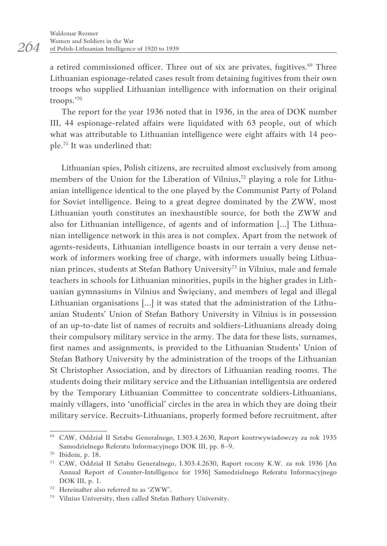a retired commissioned officer. Three out of six are privates, fugitives.<sup>69</sup> Three Lithuanian espionage-related cases result from detaining fugitives from their own troops who supplied Lithuanian intelligence with information on their original troops.'<sup>70</sup>

The report for the year 1936 noted that in 1936, in the area of DOK number III, 44 espionage-related affairs were liquidated with 63 people, out of which what was attributable to Lithuanian intelligence were eight affairs with 14 people.<sup>71</sup> It was underlined that:

Lithuanian spies, Polish citizens, are recruited almost exclusively from among members of the Union for the Liberation of Vilnius,<sup>72</sup> playing a role for Lithuanian intelligence identical to the one played by the Communist Party of Poland for Soviet intelligence. Being to a great degree dominated by the ZWW, most Lithuanian youth constitutes an inexhaustible source, for both the ZWW and also for Lithuanian intelligence, of agents and of information [...] The Lithuanian intelligence network in this area is not complex. Apart from the network of agents-residents, Lithuanian intelligence boasts in our terrain a very dense network of informers working free of charge, with informers usually being Lithuanian princes, students at Stefan Bathory University<sup>73</sup> in Vilnius, male and female teachers in schools for Lithuanian minorities, pupils in the higher grades in Lithuanian gymnasiums in Vilnius and Święciany, and members of legal and illegal Lithuanian organisations [...] it was stated that the administration of the Lithuanian Students' Union of Stefan Bathory University in Vilnius is in possession of an up-to-date list of names of recruits and soldiers-Lithuanians already doing their compulsory military service in the army. The data for these lists, surnames, first names and assignments, is provided to the Lithuanian Students' Union of Stefan Bathory University by the administration of the troops of the Lithuanian St Christopher Association, and by directors of Lithuanian reading rooms. The students doing their military service and the Lithuanian intelligentsia are ordered by the Temporary Lithuanian Committee to concentrate soldiers-Lithuanians, mainly villagers, into 'unofficial' circles in the area in which they are doing their military service. Recruits-Lithuanians, properly formed before recruitment, after

<sup>69</sup> CAW, Oddział II Sztabu Generalnego, I.303.4.2630, Raport kontrwywiadowczy za rok 1935 Samodzielnego Referatu Informacyjnego DOK III, pp. 8–9.

<sup>70</sup> Ibidem, p. 18.

<sup>71</sup> CAW, Oddział II Sztabu Generalnego, I.303.4.2630, Raport roczny K.W. za rok 1936 [An Annual Report of Counter-Intelligence for 1936] Samodzielnego Referatu Informacyjnego DOK III, p. 1.

<sup>&</sup>lt;sup>72</sup> Hereinafter also referred to as 'ZWW'.<br><sup>73</sup> Vilnius University, then called Stefan Bathory University.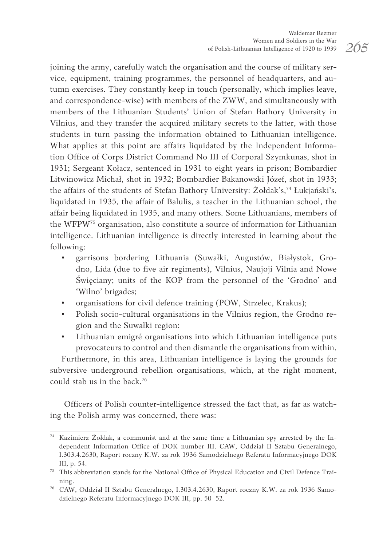joining the army, carefully watch the organisation and the course of military service, equipment, training programmes, the personnel of headquarters, and autumn exercises. They constantly keep in touch (personally, which implies leave, and correspondence-wise) with members of the ZWW, and simultaneously with members of the Lithuanian Students' Union of Stefan Bathory University in Vilnius, and they transfer the acquired military secrets to the latter, with those students in turn passing the information obtained to Lithuanian intelligence. What applies at this point are affairs liquidated by the Independent Information Office of Corps District Command No III of Corporal Szymkunas, shot in 1931; Sergeant Kołacz, sentenced in 1931 to eight years in prison; Bombardier Litwinowicz Michał, shot in 1932; Bombardier Bakanowski Józef, shot in 1933; the affairs of the students of Stefan Bathory University: Żołdak's,<sup>74</sup> Łukjański's, liquidated in 1935, the affair of Balulis, a teacher in the Lithuanian school, the affair being liquidated in 1935, and many others. Some Lithuanians, members of the WFPW75 organisation, also constitute a source of information for Lithuanian intelligence. Lithuanian intelligence is directly interested in learning about the following:

- garrisons bordering Lithuania (Suwałki, Augustów, Białystok, Grodno, Lida (due to five air regiments), Vilnius, Naujoji Vilnia and Nowe Święciany; units of the KOP from the personnel of the 'Grodno' and 'Wilno' brigades;
- organisations for civil defence training (POW, Strzelec, Krakus);
- Polish socio-cultural organisations in the Vilnius region, the Grodno region and the Suwałki region;
- Lithuanian emigré organisations into which Lithuanian intelligence puts provocateurs to control and then dismantle the organisations from within.

Furthermore, in this area, Lithuanian intelligence is laying the grounds for subversive underground rebellion organisations, which, at the right moment, could stab us in the back.<sup>76</sup>

Officers of Polish counter-intelligence stressed the fact that, as far as watching the Polish army was concerned, there was:

<sup>74</sup> Kazimierz Żołdak, a communist and at the same time a Lithuanian spy arrested by the Independent Information Office of DOK number III. CAW, Oddział II Sztabu Generalnego, I.303.4.2630, Raport roczny K.W. za rok 1936 Samodzielnego Referatu Informacyjnego DOK III, p. 54.

<sup>75</sup> This abbreviation stands for the National Office of Physical Education and Civil Defence Training.

<sup>76</sup> CAW, Oddział II Sztabu Generalnego, I.303.4.2630, Raport roczny K.W. za rok 1936 Samodzielnego Referatu Informacyjnego DOK III, pp. 50–52.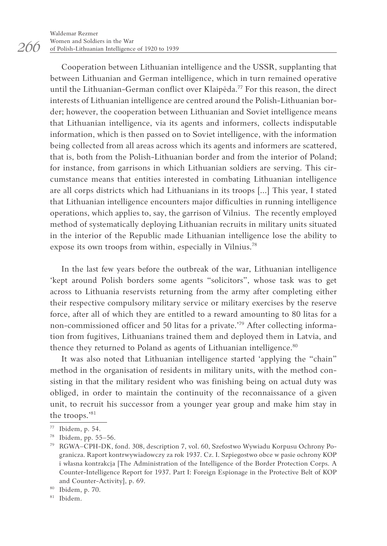*266*

Cooperation between Lithuanian intelligence and the USSR, supplanting that between Lithuanian and German intelligence, which in turn remained operative until the Lithuanian-German conflict over Klaipėda.<sup>77</sup> For this reason, the direct interests of Lithuanian intelligence are centred around the Polish-Lithuanian border; however, the cooperation between Lithuanian and Soviet intelligence means that Lithuanian intelligence, via its agents and informers, collects indisputable information, which is then passed on to Soviet intelligence, with the information being collected from all areas across which its agents and informers are scattered, that is, both from the Polish-Lithuanian border and from the interior of Poland; for instance, from garrisons in which Lithuanian soldiers are serving. This circumstance means that entities interested in combating Lithuanian intelligence are all corps districts which had Lithuanians in its troops [...] This year, I stated that Lithuanian intelligence encounters major difficulties in running intelligence operations, which applies to, say, the garrison of Vilnius. The recently employed method of systematically deploying Lithuanian recruits in military units situated in the interior of the Republic made Lithuanian intelligence lose the ability to expose its own troops from within, especially in Vilnius.<sup>78</sup>

In the last few years before the outbreak of the war, Lithuanian intelligence 'kept around Polish borders some agents "solicitors", whose task was to get across to Lithuania reservists returning from the army after completing either their respective compulsory military service or military exercises by the reserve force, after all of which they are entitled to a reward amounting to 80 litas for a non-commissioned officer and 50 litas for a private.'<sup>79</sup> After collecting information from fugitives, Lithuanians trained them and deployed them in Latvia, and thence they returned to Poland as agents of Lithuanian intelligence.<sup>80</sup>

It was also noted that Lithuanian intelligence started 'applying the "chain" method in the organisation of residents in military units, with the method consisting in that the military resident who was finishing being on actual duty was obliged, in order to maintain the continuity of the reconnaissance of a given unit, to recruit his successor from a younger year group and make him stay in the troops.'<sup>81</sup>

<sup>77</sup> Ibidem, p. 54.

<sup>78</sup> Ibidem, pp. 55–56.

<sup>79</sup> RGWA–CPH-DK, fond. 308, description 7, vol. 60, Szefostwo Wywiadu Korpusu Ochrony Pogranicza. Raport kontrwywiadowczy za rok 1937. Cz. I. Szpiegostwo obce w pasie ochrony KOP i własna kontrakcja [The Administration of the Intelligence of the Border Protection Corps. A Counter-Intelligence Report for 1937. Part I: Foreign Espionage in the Protective Belt of KOP and Counter-Activity], p. 69.

<sup>80</sup> Ibidem, p. 70.

<sup>81</sup> Ibidem.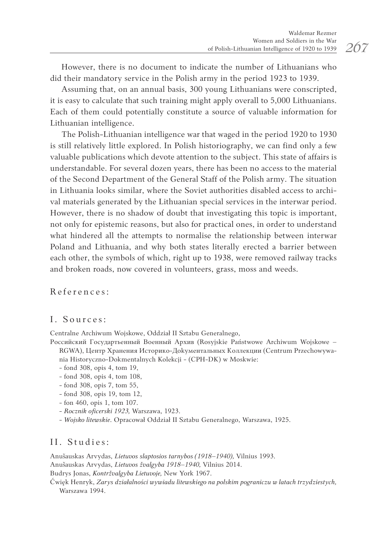However, there is no document to indicate the number of Lithuanians who did their mandatory service in the Polish army in the period 1923 to 1939.

Assuming that, on an annual basis, 300 young Lithuanians were conscripted, it is easy to calculate that such training might apply overall to 5,000 Lithuanians. Each of them could potentially constitute a source of valuable information for Lithuanian intelligence.

The Polish-Lithuanian intelligence war that waged in the period 1920 to 1930 is still relatively little explored. In Polish historiography, we can find only a few valuable publications which devote attention to the subject. This state of affairs is understandable. For several dozen years, there has been no access to the material of the Second Department of the General Staff of the Polish army. The situation in Lithuania looks similar, where the Soviet authorities disabled access to archival materials generated by the Lithuanian special services in the interwar period. However, there is no shadow of doubt that investigating this topic is important, not only for epistemic reasons, but also for practical ones, in order to understand what hindered all the attempts to normalise the relationship between interwar Poland and Lithuania, and why both states literally erected a barrier between each other, the symbols of which, right up to 1938, were removed railway tracks and broken roads, now covered in volunteers, grass, moss and weeds.

References:

### I. Sources:

Centralne Archiwum Wojskowe, Oddział II Sztabu Generalnego,

- Российский Государтьенный Военный Архив (Rosyjskie Państwowe Archiwum Wojskowe RGWA), Центр Хранения Истоpико-Дokyментальных Коллекции (Centrum Przechowywania Historyczno-Dokmentalnych Kolekcji - (CPH-DK) w Moskwie:
	- fond 308, opis 4, tom 19,
	- fond 308, opis 4, tom 108,
	- fond 308, opis 7, tom 55,
	- fond 308, opis 19, tom 12,
	- fon 460, opis 1, tom 107.
	- *Rocznik oficerski 1923,* Warszawa, 1923.
	- *Wojsko litewskie*. Opracował Oddział II Sztabu Generalnego, Warszawa, 1925.

## II. Studies:

Anušauskas Arvydas, *Lietuvos slaptosios tarnybos (1918–1940),* Vilnius 1993.

Anušauskas Arvydas, *Lietuvos žvalgyba 1918–1940,* Vilnius 2014.

Budrys Jonas, *Kontržvalgyba Lietuvoje,* New York 1967.

Ćwięk Henryk, *Zarys działalności wywiadu litewskiego na polskim pograniczu w latach trzydziestych,*  Warszawa 1994.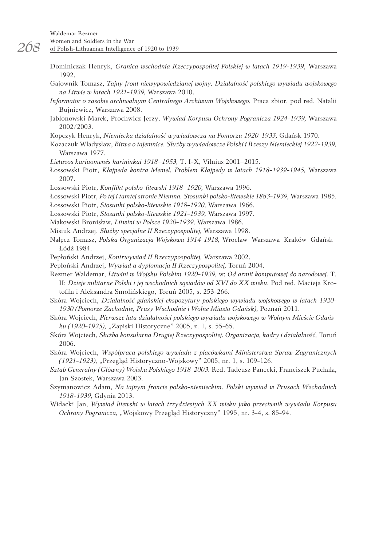- Dominiczak Henryk, *Granica wschodnia Rzeczypospolitej Polskiej w latach 1919-1939*, Warszawa 1992.
- Gajownik Tomasz, *Tajny front niewypowiedzianej wojny. Działalność polskiego wywiadu wojskowego na Litwie w latach 1921-1939,* Warszawa 2010.
- *Informator o zasobie archiwalnym Centralnego Archiwum Wojskowego.* Praca zbior. pod red. Natalii Bujniewicz, Warszawa 2008.
- Jabłonowski Marek, Prochwicz Jerzy, *Wywiad Korpusu Ochrony Pogranicza 1924-1939,* Warszawa 2002/2003.
- Kopczyk Henryk, *Niemiecka działalność wywiadowcza na Pomorzu 1920-1933,* Gdańsk 1970.
- Kozaczuk Władysław, *Bitwa o tajemnice. Służby wywiadowcze Polski i Rzeszy Niemieckiej 1922-1939,*  Warszawa 1977.
- *Lietuvos kariuomenės karininkai 1918–1953,* T. I-X, Vilnius 2001–2015.
- Łossowski Piotr, *Kłajpeda kontra Memel. Problem Kłajpedy w latach 1918-1939-1945,* Warszawa 2007.
- Łossowski Piotr, *Konflikt polsko-litewski 1918–1920,* Warszawa 1996.
- Łossowski Piotr, *Po tej i tamtej stronie Niemna. Stosunki polsko-litewskie 1883-1939,* Warszawa 1985.
- Łossowski Piotr, *Stosunki polsko-litewskie 1918-1920,* Warszawa 1966.
- Łossowski Piotr, *Stosunki polsko-litewskie 1921-1939,* Warszawa 1997.
- Makowski Bronisław, *Litwini w Polsce 1920-1939,* Warszawa 1986.
- Misiuk Andrzej, *Służby specjalne II Rzeczypospolitej,* Warszawa 1998.
- Nałęcz Tomasz, *Polska Organizacja Wojskowa 1914-1918,* Wrocław–Warszawa–Kraków–Gdańsk– Łódź 1984.
- Pepłoński Andrzej, *Kontrwywiad II Rzeczypospolitej,* Warszawa 2002.
- Pepłoński Andrzej, *Wywiad a dyplomacja II Rzeczypospolitej,* Toruń 2004.
- Rezmer Waldemar, *Litwini w Wojsku Polskim 1920-1939,* w: *Od armii komputowej do narodowej.* T. II: *Dzieje militarne Polski i jej wschodnich sąsiadów od XVI do XX wieku.* Pod red. Macieja Krotofila i Aleksandra Smolińskiego, Toruń 2005, s. 253-266.
- Skóra Wojciech, *Działalność gdańskiej ekspozytury polskiego wywiadu wojskowego w latach 1920- 1930 (Pomorze Zachodnie, Prusy Wschodnie i Wolne Miasto Gdańsk),* Poznań 2011.
- Skóra Wojciech, *Pierwsze lata działalności polskiego wywiadu wojskowego w Wolnym Mieście Gdańsku (1920-1925),* "Zapiski Historyczne" 2005, z. 1, s. 55-65.
- Skóra Wojciech, *Służba konsularna Drugiej Rzeczypospolitej. Organizacja, kadry i działalność,* Toruń 2006.
- Skóra Wojciech, *Współpraca polskiego wywiadu z placówkami Ministerstwa Spraw Zagranicznych (1921-1923), "Przegląd Historyczno-Wojskowy" 2005, nr. 1, s. 109-126.*
- *Sztab Generalny (Główny) Wojska Polskiego 1918-2003.* Red. Tadeusz Panecki, Franciszek Puchała, Jan Szostek, Warszawa 2003.
- Szymanowicz Adam, *Na tajnym froncie polsko-niemieckim. Polski wywiad w Prusach Wschodnich 1918-1939,* Gdynia 2013.
- Widacki Jan, *Wywiad litewski w latach trzydziestych XX wieku jako przeciwnik wywiadu Korpusu Ochrony Pogranicza, "Wojskowy Przegląd Historyczny" 1995, nr. 3-4, s. 85-94.*